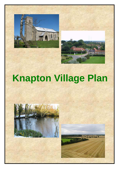



# **Knapton Village Plan**



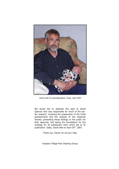

David with his granddaughter, Ruby, April 2007

We would like to dedicate this plan to David Spencer who was responsible for much of the earlier research, involving the preparation of the initial questionnaire and the analysis of the response thereto, presenting these findings to the public for their approval, and laying the foundations for the strategy for all subsequent work which led to its publication. Sadly, David died on April 30<sup>th</sup>, 2007.

Thank you, David, for all your help.

Knapton Village Plan Steering Group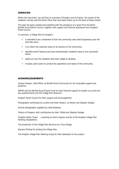# **OVERVIEW**

Within this document, you will find an overview of Knapton and its history, the results of the residents' surveys and the Action Plans that have been drawn up on the back of these results.

This plan has been created and published with the assistance of a grant from the North Norfolk Rural District Council, together with support and financial assistance from Knapton Parish Council.

In summary, a Village Plan for Knapton:

- $\checkmark$  is intended to be a statement of how the community sees itself progressing over the next few years;
- $\checkmark$  is to reflect the collective views of all sections of the community;
- $\checkmark$  identifies which features and local characteristics residents value or are concerned about;
- $\checkmark$  spells out how the residents wish their village to develop;
- $\checkmark$  includes action plans to achieve the aspirations and needs of the community.

### **ACKNOWLEDGEMENTS**

Carolyn Heydon, Field Officer at Norfolk Rural Community for her invaluable support and guidance.

DEFRA and the Norfolk Rural Project Fund for their financial support to enable us to print the two questionnaires and this Village Plan Brochure.

Knapton Parish Council for their support and encouragement.

Photographs contributed by Loraine and Peter Holtam, Liz Winter and Stephen Doidge.

Archive photographs supplied by Linda Risebrow.

'History of Knapton' with contributions by Alan Tofield and Stephen Doidge.

'Knapton Water Tower' - a painting by Denis Haynes (winner of the Knapton Village Plan Painting Competition).

The production of this Village Plan Brochure by Tricia Doidge.

Express Printing for printing the Village Plan.

The Knapton Village Plan Steering Group for their dedication to this project.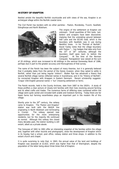# **HISTORY OF KNAPTON**

Nestled amidst the beautiful Norfolk countryside and with views of the sea, Knapton is an archetypal village within the Norfolk coastal zone.

The Civil Parish has borders with six other parishes - Paston, Mundesley, Trunch, Swafield, Edingthorpe and North Walsham.



The origins of the settlement at Knapton are unknown. Small quantities of flint tools, 'potboilers' and scrapers have been discovered, implying that the undulating ground between Hall Lane and the B1145 road, which is the boundary with Swafield, was in use during Neolithic times. In his "Portrait of Norfolk", David Yaxley notes that the village boundary with Paston "... has hedges that date only from the  $15<sup>th</sup>$  or  $16<sup>th</sup>$  centuries, although the boundary itself goes back to before the Conquest". At the time of the Norman Conquest, 'Kanapatone' was valued at the sum

of 20 shillings, which was increased to 60 shillings in the seminal Domesday Book of 1086, perhaps due in part to the greater accuracy and thoroughness of that survey.

The name of the Parish has been the subject of many theories, but it is generally believed that it probably dates from the period of the Danes invasion, when they opted to settle in Norfolk, rather than just being regular 'visitors'! Walter Rye has advanced a theory that several Norfolk village names reflected names in Scandinavia, and in his "History of Norfolk", he connected Knapton with Knappen in Fastern Denmark. Recent scholarship suggests: 'Cnapa' (Old English personal name) + 'tun' (meaning settlement or farm).

The Parish records, held in the County Archives, date from 1687 to the 1920's. A study of these proffers a clear picture of closely knit families with their lives revolving around farming and its allied crafts and trades. The numerous farms of differing sizes contained within the village were quite varied and included both arable and livestock farming. Today there are far fewer farms but farming nevertheless plays an important part in the modern life of this village.

Shortly prior to the  $20<sup>th</sup>$  century, the railway came to Knapton. The 'Paston and Knapton' station was built with the N&SJR line originating in North Walsham and terminating in Cromer. The railway opened new opportunities for the more enterprising residents, but for the majority life continued as normal. Although this railway line closed many decades past, the station building is still extant, albeit as a private abode.



The Censuses of 1841 to 1901 offer an interesting snapshot of the families within the village and, together with other records and photographs, show the development of Knapton which in its heyday had a school, post office, railway station and three shops, in addition to the extant church and chapel.

It is quite surprising to note that, in 1843, the annual value of the land and buildings of Knapton was assessed at £2,622, which was higher than that of Sheringham, despite the population of the latter being about three times that of Knapton.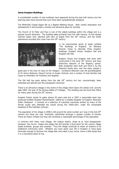### **Some Knapton Buildings**

A considerable number of new buildings have appeared during the past half century but the planning laws have ensured that such have been sympathetically designed.

The Methodist Chapel began life as a Baptist Meeting House. After careful restoration and development it still provides a homely and attractive place for worship.

The Church of St Peter and Paul is one of the oldest buildings within the village and is a popular tourist attraction. The building dates primarily from the 14th century; its fine double hammer beam roof, adorned with tiers of angels from the 16<sup>th</sup> century, and the Greek palindrome inscribed font cover from the 18<sup>th</sup> century.



In his monumental series of books entitled "The Buildings of England", Sir Nikolaus Pevsner chose to describe three Knapton buildings: Knapton House, Knapton Hall and Knapton Old Hall.

Knapton House and Knapton Hall were both constructed in the early 19<sup>th</sup> century and have distinctive features of the Regency period. Both properties were built and lived in by the Robinson family who, over the years, played a

great part in the lives of many of the villagers. Constance Robinson was the granddaughter of Sir Henry Robinson (Sword Carrier to Queen Victoria) and a number of local families had cause to remember her kindness and largesse.

The Old Hall has parts dating from the late  $16<sup>th</sup>$  century but has, unsurprisingly, been extended and altered over the subsequent centuries!

There is an attractive cottage in the centre of the village which bears the initials A.W. and the date 1805: the year of the famous Battle of Trafalgar. This building was the local Post Office for many years during the  $20<sup>th</sup>$  century.

Knapton School closed its gates almost 30 years past but in 2007 a memorable book was produced entitled 'Knapton Remembered', edited by a notable daughter of Knapton, Baroness Gillian Shephard. It consists of a collection of evocative memories written by many of the former pupils who attended the school during the 1930's-60's, under the remarkable headship of Mrs Kathleen Johnson.

The population of the village in 2009 is still around the same number as it was in the mid-19<sup>th</sup> century but these are now, thankfully, distributed amongst a greater number of homes! There are fewer children but they still constitute a reasonable percentage of the population.

In common with many rural villages, the railway station, shops et al, have disappeared. However, the church, chapel and village hall still provide a focal point for the various village based activities, groups and societies. Thus the village continues to retain an essence of its traditional community spirit. Whether you have spent your life in Knapton or have been fortunate enough to discover the village later and make it your home, there is little doubt that it is a marvellous place to live.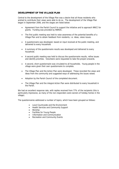# **DEVELOPMENT OF THE VILLAGE PLAN**

Central to the development of the Village Plan was a desire that all those residents who wished to contribute their views were able to do so. The development of the Village Plan began in September 2006, and the stages are listed below:

- Agreement from the Parish Council to support the initiative and to approach NNCC for grants. Funding was provided by NNRDC.
- The first public meeting was held to raise awareness of the potential benefits of a Village Plan and to obtain feedback from residents, i.e. ideas, views issues.
- A questionnaire was developed, based on input received at the public meeting, and delivered to every household.
- A summary of the questionnaire results was developed and delivered to every household.
- A second public meeting was held to discuss the questionnaire results, refine issues and identify priorities. Volunteers were requested to take the project onwards.
- A second, short questionnaire was circulated to all households. Young people in the village were given their own questionnaire to complete.
- The Village Plan and the Action Plan were developed. These recorded the views and ideas from the community and suggested ways of addressing the issues raised.
- Adoption by the Parish Council of the completed document.
- The Village Plan and the integral Action Plan were distributed to every household in the Parish.

We had an excellent response rate, with replies received from 77% of the recipients (this is particularly impressive, as many of the non-responders were owners of holiday homes in the village).

The questionnaires addressed a number of topics, which have been grouped as follows:

- Local Countryside and the Environment
- Health Services and Community Support
- Worship
- Facilities for Young People
- Information and Communication
- Recreation and Community Events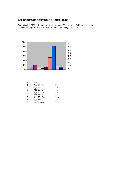# **AGE GROUPS OF RESPONDING HOUSEHOLDS**

Approximately 52% of Knapton residents are aged 55 and over. Eighteen percent are between the ages of 0 and 19, with the remainder being in between.



| А. | Age 0 - 9     | 13  |
|----|---------------|-----|
| В. | Age $10 - 15$ | 21  |
| C. | Age $16 - 19$ | 8   |
| D. | Age $20 - 24$ | 5   |
| Е. | Age $25 - 34$ | 10  |
| F. | Age $35 - 54$ | 53  |
| G. | Age $55 - 74$ | 104 |
| Η. | Age $75+$     | 16  |
| L. | No response   | 9   |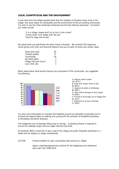# **LOCAL COUNTRYSIDE AND THE ENVIRONMENT**

It was clear from the village questionnaire that the residents of Knapton enjoy living in the village, and value highly its individuality and the environment of the surrounding countryside. You wish to see the urban landscape enhanced and the best features preserved. Comments you made include:

"It is a village, please don't try to turn it into a town" "Lovely small, rural village near the sea" "Good for dogs and horses"

We asked what you specifically like about living in Knapton. We received 100 responses (some giving more than one favourite feature) and you all seem to share very similar views:

| Peace and quiet         | 59 |
|-------------------------|----|
| Friendly people         | 37 |
| Countryside             | 30 |
| No street lights        | 3  |
| Village Hall and Church | 2  |
| Low crime rate          |    |

When asked about what would improve your enjoyment of the countryside, you suggested the following;



A: Reduce vehicle speed 101 (87%) B: Keep lane verges mown & tidy 80 (69%) C: Signpost all paths & bridleways 80 (69%) D: Stop vehicle damage to lane verges 79 (68%) E: Provide & encourage use of doggie bins 63 (54%) F: Signposts to all local amenities 57 (49%)

You were very enthusiastic to maintain the footpaths around our beautiful countryside and to increase the opportunities for walking and cycling with the provision of footpaths/cycleways to Mundesley and North Walsham.

The hedgerows are increasingly falling prey to old age. A planting scheme is required to ensure the roadside verges will once again become tree lined.

93 residents (80%) would like to see a map of the village and public footpaths publicised in a leaflet and for display on village noticeboards.

ACTION: Produce leaflets for each countryside walk around our village.

Agree a planting/replacement scheme for the hedgerows and implement each year from 2009-2014.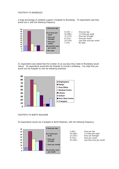# FOOTPATH TO MUNDESLEY

A large percentage of residents support a footpath to Mundesley. 75 respondents said they would use it, with the following frequency:



51 respondents also stated that the number of car journeys they made to Mundesley would reduce. 24 respondents would like the footpath to include a bridleway. You state that you would use the footpath to visit the following amenities:



### FOOTPATH TO NORTH WALSHAM

53 respondents would use a footpath to North Walsham, with the following frequency:



3 (6%) Once per day 19 (36%) 1-4 times per week 12 (22%) Once per fortnight 9 (17%) Once per month 10 (19%) Less than once per month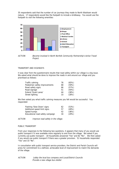35 respondents said that the number of car journeys they made to North Walsham would reduce. 17 respondents would like the footpath to include a bridleway. You would use the footpath to visit the following amenities:



ACTION: Become involved in North Norfolk Community Partnership's Active Travel Project.

### TRANSPORT AND HIGHWAYS

It was clear from the questionnaire results that road safety within our village is a big issue. We asked what should be done to improve the roads in and around our village and you prioritised as follows:

| Traffic calming                | 76 | (65%) |
|--------------------------------|----|-------|
| Pedestrian safety improvements | 68 | (59%) |
| Road safety signs              | 66 | (57%) |
| Road signage                   | 51 | (44%) |
| Extend 'Quiet Lanes'           | 44 | (38%) |
| <b>Street lighting</b>         | 33 | (28%) |

We then asked you what traffic calming measures you felt would be successful. You responded:

| Flashing 'Slow Down' signs       | 62 | (53%) |
|----------------------------------|----|-------|
| Additional speed limit signs     | 57 | (49%) |
| Speed humps                      | 42 | (36%) |
| Educational road safety campaign | 34 | (29%) |

ACTION: Improve road safety in the village.

### PUBLIC TRANSPORT

From your responses to the following two questions, it appears that many of you would use public transport if it was available more regularly to and from the village. We asked if you currently use public transport – 18 households answered "Yes" and 82 "No". We then asked if you would use public transport if there was a greater provision. 51 households responded "Yes" and 33 "No".

In consultation with public transport service providers, the District and Parish Councils will press for commitment to a defined, achievable level of improvement to match the demands of the village.

ACTION: Lobby the local bus company and Local/District Councils Provide a new village bus shelter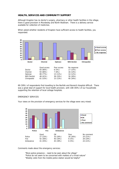# **HEALTH, SERVICES AND COMMUNITY SUPPORT**

Although Knapton has no doctor's surgery, pharmacy or other health facilities in the village, there is good provision in Mundesley and North Walsham. There is a delivery service available for collection of medicines.

When asked whether residents of Knapton have sufficient access to health facilities, you responded:



69 (59%) of respondents find travelling to the Norfolk and Norwich Hospital difficult. There was a great deal of support for local health provision, with 108 (93%) of our households supporting the retention of local cottage hospitals.

### EMERGENCY SERVICES

Your views on the provision of emergency services for the village were very mixed:



Comments made about the emergency services:

"More police presence – need to be seen about the village" "Police do not seem to be concerned with matters of a trivial nature" "Weekly visits from the mobile police station would be helpful"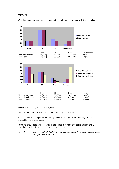### **SERVICES**

We asked your views on road cleaning and bin collection services provided to the village:



### AFFORDABLE AND SHELTERED HOUSING

When asked about affordable or sheltered housing, you replied:

10 households have experienced a family member having to leave the village to find affordable or sheltered housing.

In the next few years 13 households in the village may need affordable housing and 9 households believe they may require sheltered housing.

ACTION: Contact the North Norfolk District Council and ask for a Local Housing Needs Survey to be carried out.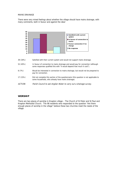### MAINS DRAINAGE

There were very mixed feelings about whether the village should have mains drainage, with many comments, both in favour and against the idea!



- 39 (34%) Satisfied with their current system and would not support mains drainage.
- 52 (45%) In favour of connection to mains drainage and would pay for connection (although some responses qualified this with "it would depend how much it cost").
- 8 (7%) Would be interested in connection to mains drainage, but would not be prepared to pay for connection.
- 17 (15%) Did not complete this section of the questionnaire (this question is not applicable to some households, who already have mains drainage).
- ACTION: Parish Council to ask Anglian Water to carry out a drainage survey.

### **WORSHIP**

There are two places of worship in Knapton village – The Church of St Peter and St Paul and Knapton Methodist Church. The 98 residents who responded to the question "Are there enough places of worship in the village" believe these two churches meet the needs of the village.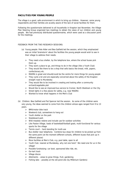# **FACILITIES FOR YOUNG PEOPLE**

The village is a good, safe environment in which to bring up children. However, some young respondents and their families are acutely aware of the lack of social facilities for them.

Following the questionnaire delivered to all households in Knapton last November, the Village Plan Steering Group organized two meetings to obtain the views of our children and young people. We had previously distributed questionnaires, which were used as a discussion point for the meetings.

### FEEDBACK FROM THE TWO RESEARCH SESSIONS:

- (a) Young people: Pete Alder and Bea Gatfield led the session, which they emphasized was an initial 'brainstorm' about the facilities the young people would wish to see in their village to address their needs.
	- $\triangleright$  They need a bus shelter, by the telephone box, where the school buses pick them up.
	- $\triangleright$  They want a place to go, and things to do in the village (like a Youth Club)
	- $\triangleright$  They would like there to be a shop that sells basics like bread, milk, papers, confectionary etc.
	- $\triangleright$  MADRA is great and should/could be the centre for more things for young people
	- $\triangleright$  They cycle a lot and are especially concerned about the safety of the Knapton straight road to Mundesley
	- $\triangleright$  They would like to be involved in creating and looking after a community orchard/vegetable plot
	- $\triangleright$  Would like to see an improved bus service to Cromer, North Walsham or the City
	- ¾ Street lights in a few places for safety, e.g. near MADRA
	- $\triangleright$  Wanted to know what happens in the Men's Club
- (b) Children: Bea Gatfield and Pat Spencer led the session. As some of the children were very young, the ideas seemed to come from the children whose ages ranged from 9 to 13 years.
	- $\triangleright$  BMX/motor bike track
	- $\triangleright$  Weekend club, somewhere to hang out
	- $\triangleright$  Youth shelter on the park
	- $\triangleright$  Skateboard park
	- $\triangleright$  Wild meadow redone and include use for outdoor activities
	- ¾ Like Paston Village, loads of basketball/football goals, multi-functional for various sports for the village
	- $\triangleright$  Tennis court hard standing for multi-use
	- $\triangleright$  Bus shelter near telephone. Combine bus stops for children to be picked up from the same point (at the moment different schools, different buses that pick up in different places)
	- ¾ More facilities at Men's Club, e.g. pool table, open to all
	- $\triangleright$  Youth Club: nearest at Mundesley, why not one here? We need one for us in the village!
	- $\triangleright$  Possible fundraising: car boot, sponsored bike ride, etc.
	- $\triangleright$  Go-kart track
	- $\triangleright$  Village discos
	- $\triangleright$  Allotments areas to grow things, fruit, gardening
	- $\triangleright$  Fishing lake possibly at the old pond site (by Millenium Gardens)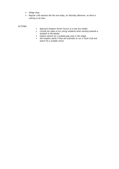- $\triangleright$  Village shop
- ¾ Regular craft sessions like the one today, on Saturday afternoon, as there is nothing to do then.

ACTIONS:

- **Approach Knapton Parish Council re a new bus shelter**
- Include the views of our young residents when working towards a footpath to Mundesley
- **Explore options for a suitable play area in the village**
- **Ask Knapton adults if they will volunteer to run a Youth Club and** search for a suitable venue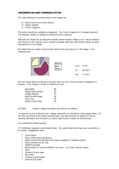# **INFORMATION AND COMMUNICATION**

The main methods of communication in the village are:

- a) Parish and Church notice boards
- b) Village website
- c) Church magazine

The notice boards are updated as requested. The Church magazine is circulated quarterly. The Knapton website is updated on demand and as required.

Although the village has an attractive website (www.knapton-village.co.uk), not all residents have access to the Internet, and a number of people said they had trouble finding out what was going on in the village.

We asked how you rated communication about what was going on in the village. Your response was:

| $\Box$ Good    |      |          |
|----------------|------|----------|
| $\blacksquare$ | Good | 8(7%)    |
| $\Box$ Poor    | OK   | 68 (59%) |
|                | Poor | 27 (24%) |

We then asked what you felt were the best ways for you to find out what is happening in Knapton. Your choices, in order of preference, were

| <b>Newsletter</b>          | 96 |
|----------------------------|----|
| Village Notice Board       | 59 |
| Village Website            | 53 |
| North Norfolk News         | 50 |
| Crab Line                  | 49 |
| <b>Eastern Daily Press</b> | 42 |

### ACTION: Create a village newsletter and trial for six editions

In response to your preference for a village newsletter, we decided to trial Knapton News. By the time you received the second questionnaire, you had received six editions of this bimonthly publication and this gave us a good opportunity to assess its effectiveness.

You supplied the following data:

177 individuals regularly read Knapton News. We asked what other topics you would like us to include. Suggestions were:

- $\checkmark$  Local history
- $\checkmark$  More articles about gardening
- $\checkmark$  Walks around the footpaths and regular updates on footpath project
- $\checkmark$  Items wanted and for sale
- $\checkmark$  MADRA schedule
- $\checkmark$  Observations of unusual wildlife in the area e.g. birds, animals, plants
- $\checkmark$  Sport
- $\checkmark$  Answers to quiz page
- $\checkmark$  Bus times
- $\checkmark$  Introduce local people
- $\checkmark$  General local news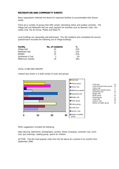# **RECREATION AND COMMUNITY EVENTS**

Many respondents reflected the desire for improved facilities to accommodate their leisure needs.

There are a number of groups that offer varied, interesting indoor and outdoor activities. The Village Hall and Methodist Hall are used regularly for activities such as Women's Own, the Ladies Club, the Art Group, Pilates and Keep Fit.

Local buildings are reasonably well patronised. The 102 residents who completed the second questionnaire recorded the following use of village buildings:

| <b>Facility</b>     | No. of residents | ℅   |
|---------------------|------------------|-----|
| <b>Village Hall</b> | 42               | 41% |
| Methodist Hall      | 12               | 12% |
| MADRA               | 25               | 25% |
| Gentlemen's Club    |                  | 2%  |
| Millennium Garden   | 16               | 16% |

### LOCAL CLUBS AND GROUPS

Interest was shown in a wide variety of clubs and groups:



| Craft club                   | 15 |
|------------------------------|----|
| Local & family history group | 19 |
| Chess club                   | 2  |
| Millennium Garden group      | 6  |
| Gardening club               | 24 |
| Bridge club                  | 3  |
| Music group                  | 14 |
| Drama group                  | 11 |
| Youth club                   | 23 |
| Seniors' club                | 15 |
| Mother & toddler group       | 10 |

Other suggestions included the following:

Salsa dancing, badminton, photography, archery, flower arranging, computer club, lunch club, quiz evenings, reading group, sports for children.

ACTION: Trial the most popular clubs from the list above for a period of six months from September 2008.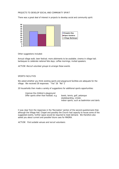### PROJECTS TO DEVELOP SOCIAL AND COMMUNITY SPIRIT

There was a great deal of interest in projects to develop social and community spirit:



Other suggestions included:

Annual village walk; beer festival; more allotments to be available; cinema in village hall; barbeques to celebrate national fete days; coffee mornings; invited speakers.

ACTION: Recruit volunteer groups to arrange these events.

### SPORTS FACILITIES

We asked whether you think existing sports and playground facilities are adequate for the village. We received 28 responses: "Yes" 26 "No" 2

20 households then made a variety of suggestions for additional sports opportunities:

| Improve the children's playground      |                                            |
|----------------------------------------|--------------------------------------------|
| Offer sports other than football, e.g. | bowls, tennis, golf, petanque              |
|                                        | skateboarding, cricket,                    |
|                                        | indoor sports, such as badminton and darts |

It was clear from the responses in the 'Recreation' section of the second questionnaire that, although the Village Hall, Chapel and possibly the Church had capacity to house some of the suggested events, further space would be required to meet demand. We therefore also asked you about current and possible future uses for MADRA.

ACTION: Find suitable venues and recruit volunteers.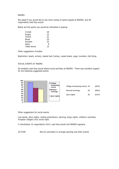### MADRA

We asked if you would like to see more variety of sports played at MADRA, and 59 respondents said they would.

Below are the sports you would be interested in playing:

| Cricket      | 18 |
|--------------|----|
| Rugby        | 15 |
| Tennis       | 22 |
| <b>Boule</b> | 16 |
| Snooker      | 10 |
| Darts        | 8  |
| Table tennis | 13 |

Other suggestions included:

Badminton, bowls, archery, basket ball, hockey, carpet bowls, yoga, rounders, kite flying.

### SOCIAL EVENTS AT MADRA

59 residents said they would attend social activities at MADRA. There was excellent support for the following suggested events:



| Village fundraising events 54 |    | (92%) |
|-------------------------------|----|-------|
| Musical evenings              | 39 | (66%) |
| Quiz nights                   | 36 | (61%) |

Other suggestions for social events:

Live bands, disco nights, visiting entertainers, dancing, bingo nights, children's activities, 'Knapton villagers only' social night.

If refurbished, 41 respondents (41%) said they would visit MADRA regularly.

ACTION: Recruit volunteers to arrange sporting and other events.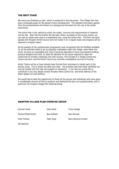### **THE NEXT STAGE**

We have now finalised our plan, which is produced in this document. This Village Plan lays down achievable goals for the parish's future development. The detailed information gained from the questionnaires will remain as a background document for the use of the whole community.

The Action Plan is the vehicle by which the needs, concerns and requirements of residents can be met. Now that the priority list has been drawn up based on the survey results, we can start to tackle each area in a methodical way, using the Action Plan. This Plan has been agreed with Knapton Parish Council who will review it on a regular basis and progress will be reported in Knapton News.

As the analysis of the questionnaire progressed it was recognised that the facilities available for all the activities listed to be successfully undertaken within the village, were either too small, too busy or unavailable and, that it would be desirable to have a permanent building, purpose designed and built, to meet the demand for the space required to allow the community to function cohesively and with success. The concept of a Village Community Centre was born and the Parish Council are currently investigating sources of funding.

Action Teams will be or have already been formed from volunteers to tackle each of the priority areas. This is where we need your help. The priorities that have been identified can only be tackled with the help and support of volunteers. If you feel you would like to contribute in any way please contact Knapton News (phone no. and email address of the Editor appear on each edition).

We would like to take this opportunity to thank all the groups and individuals who have given a considerable amount of time to produce and distribute the plan and questionnaires, and in particular the Knapton Village Plan Steering Group.

# **KNAPTON VILLAGE PLAN STEERING GROUP**

| Sally Dodd   | Tricia Doidge        |
|--------------|----------------------|
| Bea Gatfield | Dee Holroyd          |
| Peter Kaye   | Mary Renwick-Forster |
|              |                      |

Pat Spencer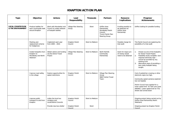# **KNAPTON ACTION PLAN**

| <b>Topic</b>                                  | Objective                                                             | <b>Actions</b>                                                              | Lead<br><b>Responsibility</b>  | Timescale       | <b>Partners</b>                                                                                                    | <b>Resource</b><br><b>Implications</b>                                       | Progress/<br><b>Achievements</b>                                                                                                                                                                                                                                        |
|-----------------------------------------------|-----------------------------------------------------------------------|-----------------------------------------------------------------------------|--------------------------------|-----------------|--------------------------------------------------------------------------------------------------------------------|------------------------------------------------------------------------------|-------------------------------------------------------------------------------------------------------------------------------------------------------------------------------------------------------------------------------------------------------------------------|
| <b>LOCAL COUNTRYSIDE</b><br>& THE ENVIRONMENT | Produce leaflets for<br>each countryside walk<br>around Knapton       | Work with Mundesley and<br>Trunch to create network<br>of footpath leaflets | Village Plan Steering<br>Group | Short           | <b>Griffon Area</b><br>Partnership;<br>Mundesley Parish<br>Council:<br>Trunch Parish Plan<br><b>Steering Group</b> | Funding possibly to<br>be obtained via<br><b>Griffon Area</b><br>Partnership | Griffon looking for possible funding                                                                                                                                                                                                                                    |
|                                               | Planting and<br>replacement scheme<br>for hedgerows                   | Implement each year<br>from 2009 - 2014                                     | Knapton Parish<br>Council      | Short to Medium |                                                                                                                    | Possible charge for<br>tree audit                                            | The Parish Council are exploring the<br>possibility of a tree audit                                                                                                                                                                                                     |
|                                               | Create footpaths from<br>Knapton to<br>Mundesley and North<br>Walsham | Obtain advice and funding<br>via the Active Travel<br>Project               | Village Plan Steering<br>Group | Short to Medium | North Norfolk<br>Community<br>Partnership                                                                          | Grant for large sum<br>of money would<br>need to be obtained                 | Chosen as one of the footpaths<br>1.<br>for Active Travel Project<br>2. Feasibility study complete. Sum<br>required extremely high -<br>cannot be provided by any<br>existing fund.<br>Alternative ways of providing a<br>3.<br>less costly footpath being<br>sought.   |
|                                               | Improve road safety<br>in the village                                 | Explore opportunities for<br>speed restrictions                             | Knapton Parish<br>Council      | Short to Medium | Village Plan Steering<br>Group<br><b>NNCP Active Travel</b><br>Team                                                |                                                                              | Cost of pedestrian crossing or other<br>electronic signs too high.<br>Community speed cameras explored<br>but not feasible<br>Parish Council have applied for a<br>lower speed limit for Hall Lane (past<br>MADRA). Lower speed limit for The<br>Street was turned down |
|                                               | Improve public<br>transport to and from<br>Knapton                    | Lobby the local bus<br>company and<br>Local/District Councils               | Knapton Parish<br>Council      | Short to Medium |                                                                                                                    |                                                                              | Ongoing project being carried out by<br>Griffon Area Partnership (North<br>Walsham)                                                                                                                                                                                     |
|                                               |                                                                       | Provide new bus shelter                                                     | Knapton Parish<br>Council      | Short           |                                                                                                                    |                                                                              | Ongoing project by Knapton Parish<br>Council                                                                                                                                                                                                                            |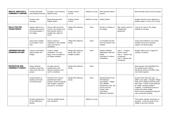| <b>HEALTH, SERVICES &amp;</b><br><b>COMMUNITY SUPPORT</b> | Provide affordable<br>and sheltered housing                                           | Arrange a Local Housing<br>Needs Survey                                                                                        | Knapton Parish<br>Council                                      | Medium to Long | North Norfolk District<br>Council                                                                                                                                             |                                                                                                            | North Norfolk District Council project                                                                                                                                                                                                                                                                                  |
|-----------------------------------------------------------|---------------------------------------------------------------------------------------|--------------------------------------------------------------------------------------------------------------------------------|----------------------------------------------------------------|----------------|-------------------------------------------------------------------------------------------------------------------------------------------------------------------------------|------------------------------------------------------------------------------------------------------------|-------------------------------------------------------------------------------------------------------------------------------------------------------------------------------------------------------------------------------------------------------------------------------------------------------------------------|
|                                                           | Provide mains<br>drainage                                                             | Being discussed with<br>Anglian Water                                                                                          | Knapton Parish<br>Council                                      | Medium to Long | Anglian Water                                                                                                                                                                 |                                                                                                            | Knapton Parish Council applying to<br>Anglian Water to carry out a survey                                                                                                                                                                                                                                               |
| <b>FACILITIES FOR</b><br>YOUNG PEOPLE                     | Explore options for a<br>suitable play area for<br>the young people in<br>the village | Discuss with the Parish<br>Council, the children and<br>their parents where a<br>suitable site might be<br>found               | Village Plan Steering<br>Group                                 | Short          | Parents of children in<br>the village                                                                                                                                         | May require grant for<br>suitable play<br>equipment                                                        | Look for an area in the village<br>suitable for all ages.                                                                                                                                                                                                                                                               |
|                                                           | Look at the creation<br>of a Knapton Youth<br>Club                                    | Discuss resource<br>implications, find suitable<br>venue and ask for<br>volunteers                                             | Village Plan Steering<br>Group                                 | Short          | A committee formed<br>from the parents and<br>children                                                                                                                        |                                                                                                            | Youth Club trialled for one month.<br>Suitable venue and volunteer<br>support are being sought.                                                                                                                                                                                                                         |
| <b>INFORMATION AND</b><br><b>COMMUNICATIONS</b>           | Improve information<br>sharing within the<br>Village.                                 | Create a village<br>newsletter, on a trial<br>basis, to be circulated to<br>all Village residents.                             | Village Plan Steering<br>Group with Tricia<br>Doidge as Editor | Short          | Knapton Website<br>Webmaster (Norman<br>Dodd)<br>Volunteers to deliver<br>newsletters                                                                                         | Year 1 - Knapton<br>Parish Council<br>Year 2 - Bacton Gas<br>Companies<br>Year 3 - Bacton Gas<br>Companies | Knapton News now in regular bi-<br>monthly circulation                                                                                                                                                                                                                                                                  |
| <b>RECREATION AND</b><br><b>COMMUNITY EVENTS</b>          | Assess whether<br>residents would like<br>more local clubs and<br>groups              | Circulate second<br>questionnaire with<br>relevant questions and<br>ask for volunteers                                         | Village Plan Steering<br>Group                                 | Short          |                                                                                                                                                                               |                                                                                                            | Most popular clubs identified from<br>the questionnaire. History,<br>Gardening, Book and Coffee Clubs<br>now meet regularly.                                                                                                                                                                                            |
|                                                           | Create projects to<br>develop social and<br>community spirit                          | Ascertain from second<br>questionnaire which<br>projects would be popular<br>with Knapton residents,<br>and ask for volunteers | Village Plan Steering<br>Group                                 | Short          | Representatives from<br>the following<br>committees - Village<br>Hall, MADRA,<br>Gentlemen's Club, the<br>Church and the<br>Chapel, Fete<br>Committee.<br>Millennium Gardens. |                                                                                                            | Summer fete held each year. In<br>2008 a quiz night, a Knapton Village<br>Walk and a Village Christmas party<br>were held. Further events planned<br>for 2009, including Knapton<br>Together, a fundraising project to<br>involve the whole village.<br>Parish Council exploring funding for<br>new community building. |
|                                                           | Provide maintenance<br>for the Millennium<br>Garden                                   | Look for possible grants<br>and volunteers                                                                                     |                                                                | Medium to Long |                                                                                                                                                                               |                                                                                                            | This project requires volunteers to<br>progress. Invite the youth of the<br>village to become involved.                                                                                                                                                                                                                 |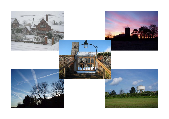